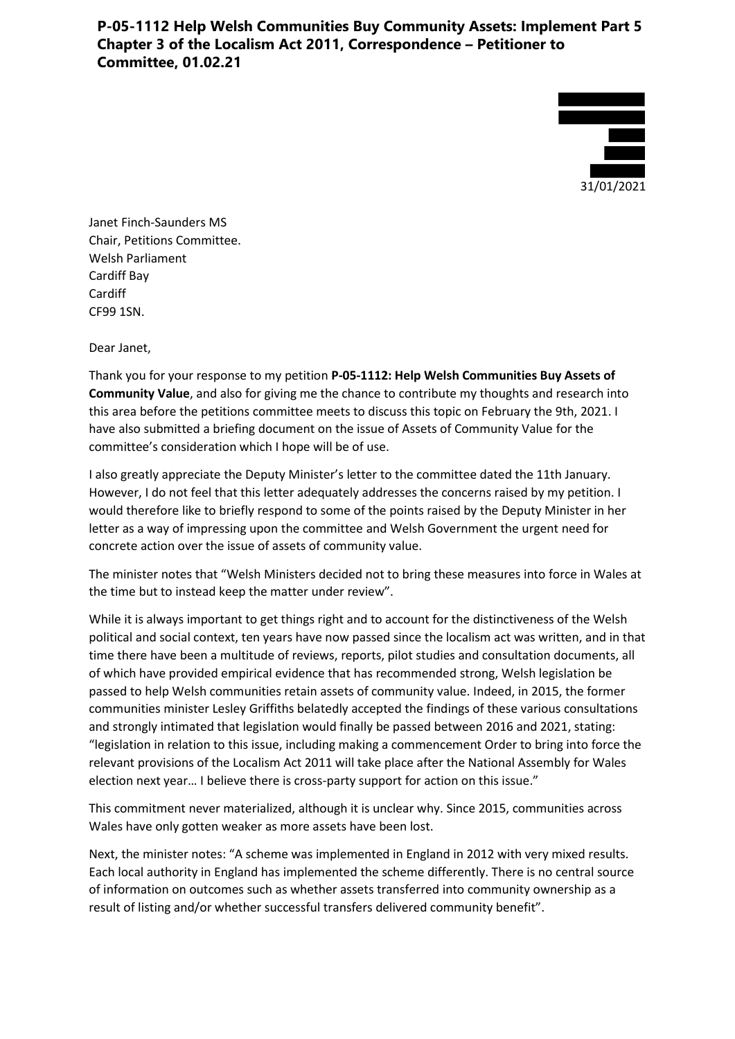# **P-05-1112 Help Welsh Communities Buy Community Assets: Implement Part 5 Chapter 3 of the Localism Act 2011, Correspondence – Petitioner to Committee, 01.02.21**



Janet Finch-Saunders MS Chair, Petitions Committee. Welsh Parliament Cardiff Bay Cardiff CF99 1SN.

Dear Janet,

Thank you for your response to my petition **P-05-1112: Help Welsh Communities Buy Assets of Community Value**, and also for giving me the chance to contribute my thoughts and research into this area before the petitions committee meets to discuss this topic on February the 9th, 2021. I have also submitted a briefing document on the issue of Assets of Community Value for the committee's consideration which I hope will be of use.

I also greatly appreciate the Deputy Minister's letter to the committee dated the 11th January. However, I do not feel that this letter adequately addresses the concerns raised by my petition. I would therefore like to briefly respond to some of the points raised by the Deputy Minister in her letter as a way of impressing upon the committee and Welsh Government the urgent need for concrete action over the issue of assets of community value.

The minister notes that "Welsh Ministers decided not to bring these measures into force in Wales at the time but to instead keep the matter under review".

While it is always important to get things right and to account for the distinctiveness of the Welsh political and social context, ten years have now passed since the localism act was written, and in that time there have been a multitude of reviews, reports, pilot studies and consultation documents, all of which have provided empirical evidence that has recommended strong, Welsh legislation be passed to help Welsh communities retain assets of community value. Indeed, in 2015, the former communities minister Lesley Griffiths belatedly accepted the findings of these various consultations and strongly intimated that legislation would finally be passed between 2016 and 2021, stating: "legislation in relation to this issue, including making a commencement Order to bring into force the relevant provisions of the Localism Act 2011 will take place after the National Assembly for Wales election next year… I believe there is cross-party support for action on this issue."

This commitment never materialized, although it is unclear why. Since 2015, communities across Wales have only gotten weaker as more assets have been lost.

Next, the minister notes: "A scheme was implemented in England in 2012 with very mixed results. Each local authority in England has implemented the scheme differently. There is no central source of information on outcomes such as whether assets transferred into community ownership as a result of listing and/or whether successful transfers delivered community benefit".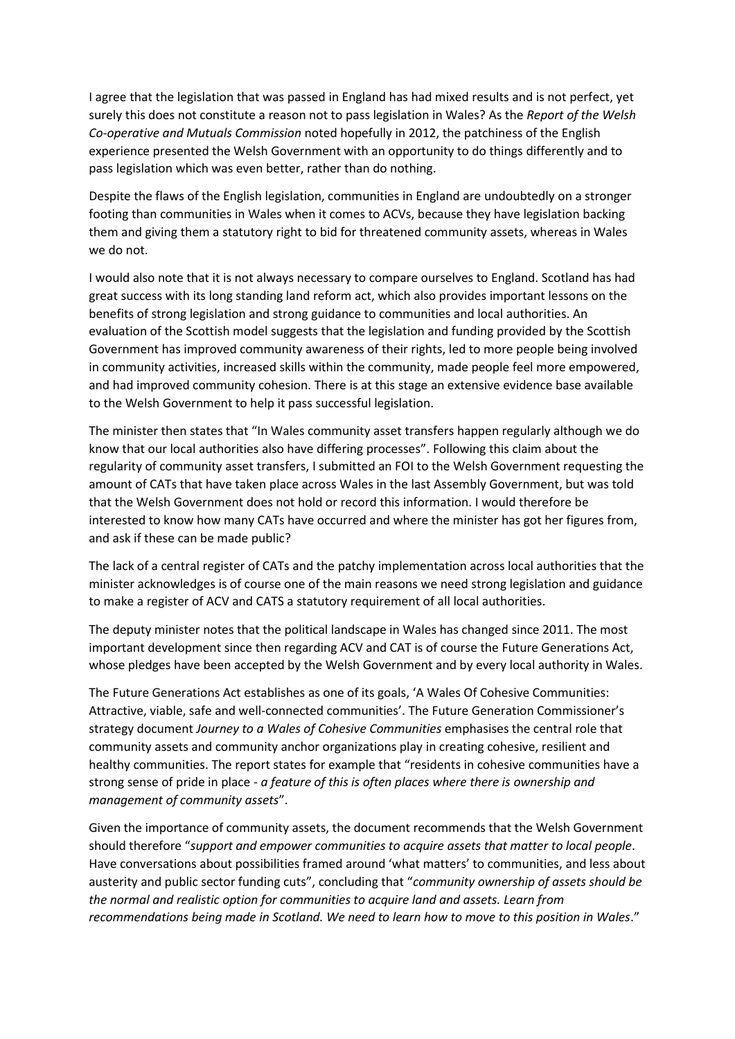I agree that the legislation that was passed in England has had mixed results and is not perfect, yet surely this does not constitute a reason not to pass legislation in Wales? As the *Report of the Welsh Co-operative and Mutuals Commission* noted hopefully in 2012, the patchiness of the English experience presented the Welsh Government with an opportunity to do things differently and to pass legislation which was even better, rather than do nothing.

Despite the flaws of the English legislation, communities in England are undoubtedly on a stronger footing than communities in Wales when it comes to ACVs, because they have legislation backing them and giving them a statutory right to bid for threatened community assets, whereas in Wales we do not.

I would also note that it is not always necessary to compare ourselves to England. Scotland has had great success with its long standing land reform act, which also provides important lessons on the benefits of strong legislation and strong guidance to communities and local authorities. An evaluation of the Scottish model suggests that the legislation and funding provided by the Scottish Government has improved community awareness of their rights, led to more people being involved in community activities, increased skills within the community, made people feel more empowered, and had improved community cohesion. There is at this stage an extensive evidence base available to the Welsh Government to help it pass successful legislation.

The minister then states that "In Wales community asset transfers happen regularly although we do know that our local authorities also have differing processes". Following this claim about the regularity of community asset transfers, I submitted an FOI to the Welsh Government requesting the amount of CATs that have taken place across Wales in the last Assembly Government, but was told that the Welsh Government does not hold or record this information. I would therefore be interested to know how many CATs have occurred and where the minister has got her figures from, and ask if these can be made public?

The lack of a central register of CATs and the patchy implementation across local authorities that the minister acknowledges is of course one of the main reasons we need strong legislation and guidance to make a register of ACV and CATS a statutory requirement of all local authorities.

The deputy minister notes that the political landscape in Wales has changed since 2011. The most important development since then regarding ACV and CAT is of course the Future Generations Act, whose pledges have been accepted by the Welsh Government and by every local authority in Wales.

The Future Generations Act establishes as one of its goals, 'A Wales Of Cohesive Communities: Attractive, viable, safe and well-connected communities'. The Future Generation Commissioner's strategy document *Journey to a Wales of Cohesive Communities* emphasises the central role that community assets and community anchor organizations play in creating cohesive, resilient and healthy communities. The report states for example that "residents in cohesive communities have a strong sense of pride in place - *a feature of this is often places where there is ownership and management of community assets*".

Given the importance of community assets, the document recommends that the Welsh Government should therefore "*support and empower communities to acquire assets that matter to local people*. Have conversations about possibilities framed around 'what matters' to communities, and less about austerity and public sector funding cuts", concluding that "*community ownership of assets should be the normal and realistic option for communities to acquire land and assets. Learn from recommendations being made in Scotland. We need to learn how to move to this position in Wales*."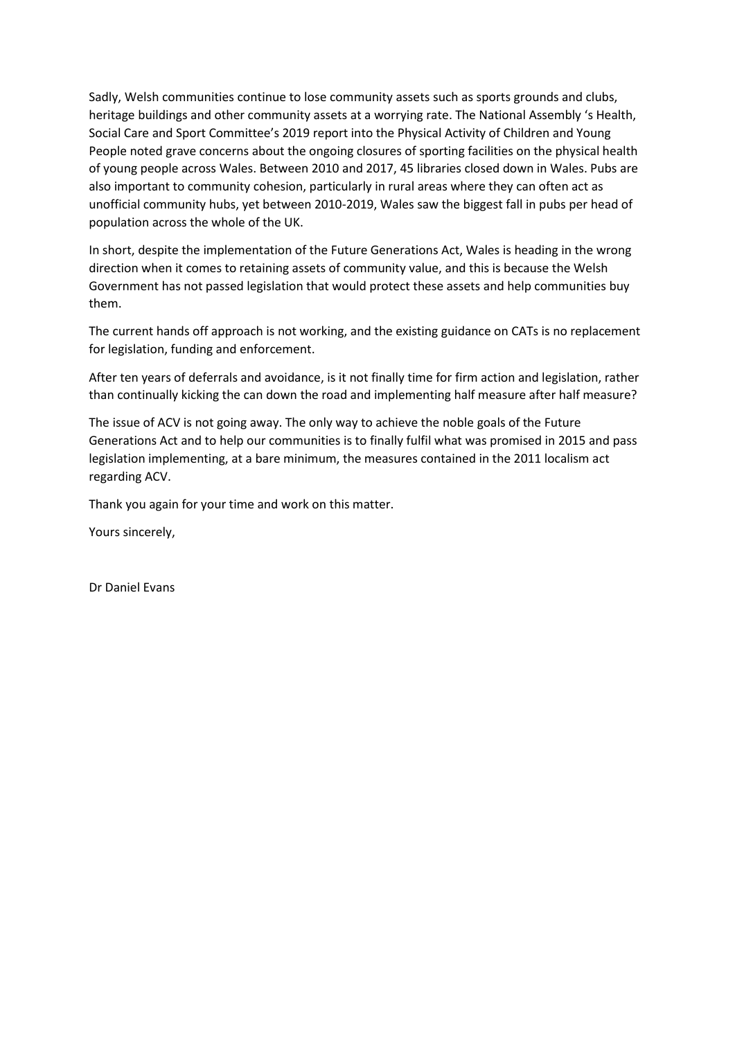Sadly, Welsh communities continue to lose community assets such as sports grounds and clubs, heritage buildings and other community assets at a worrying rate. The National Assembly 's Health, Social Care and Sport Committee's 2019 report into the Physical Activity of Children and Young People noted grave concerns about the ongoing closures of sporting facilities on the physical health of young people across Wales. Between 2010 and 2017, 45 libraries closed down in Wales. Pubs are also important to community cohesion, particularly in rural areas where they can often act as unofficial community hubs, yet between 2010-2019, Wales saw the biggest fall in pubs per head of population across the whole of the UK.

In short, despite the implementation of the Future Generations Act, Wales is heading in the wrong direction when it comes to retaining assets of community value, and this is because the Welsh Government has not passed legislation that would protect these assets and help communities buy them.

The current hands off approach is not working, and the existing guidance on CATs is no replacement for legislation, funding and enforcement.

After ten years of deferrals and avoidance, is it not finally time for firm action and legislation, rather than continually kicking the can down the road and implementing half measure after half measure?

The issue of ACV is not going away. The only way to achieve the noble goals of the Future Generations Act and to help our communities is to finally fulfil what was promised in 2015 and pass legislation implementing, at a bare minimum, the measures contained in the 2011 localism act regarding ACV.

Thank you again for your time and work on this matter.

Yours sincerely,

Dr Daniel Evans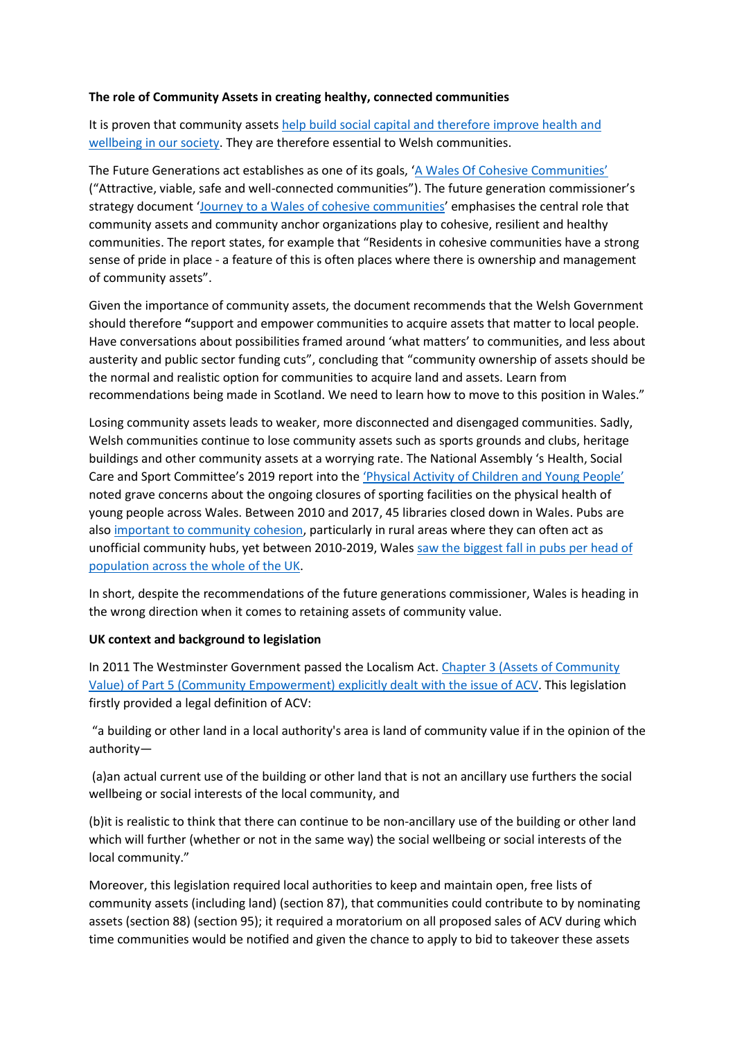#### **The role of Community Assets in creating healthy, connected communities**

It is proven that community assets help build social capital and therefore improve health and wellbeing [in our society.](http://eprints.leedsbeckett.ac.uk/id/eprint/1229/11/A%20guide%20to%20community-centred%20approaches%20for%20health%20and%20wellbeing%20(full%20report).pdf) They are therefore essential to Welsh communities.

The Future Generations act establishes as one of its goals, '[A Wales Of Cohesive Communities](https://www.futuregenerations.wales/aotp/community/)' ("Attractive, viable, safe and well-connected communities"). The future generation commissioner's strategy document '[Journey to a Wales of cohesive communities](https://www.futuregenerations.wales/wp-content/uploads/2019/09/Cohesive-Wales-Topic-4.pdf)' emphasises the central role that community assets and community anchor organizations play to cohesive, resilient and healthy communities. The report states, for example that "Residents in cohesive communities have a strong sense of pride in place - a feature of this is often places where there is ownership and management of community assets".

Given the importance of community assets, the document recommends that the Welsh Government should therefore **"**support and empower communities to acquire assets that matter to local people. Have conversations about possibilities framed around 'what matters' to communities, and less about austerity and public sector funding cuts", concluding that "community ownership of assets should be the normal and realistic option for communities to acquire land and assets. Learn from recommendations being made in Scotland. We need to learn how to move to this position in Wales."

Losing community assets leads to weaker, more disconnected and disengaged communities. Sadly, Welsh communities continue to lose community assets such as sports grounds and clubs, heritage buildings and other community assets at a worrying rate. The National Assembly 's Health, Social Care and Sport Committee's 2019 report into the '[Physical Activity of Children and Young People](https://senedd.wales/laid%20documents/cr-ld12369/cr-ld12369-e.pdf)' noted grave concerns about the ongoing closures of sporting facilities on the physical health of young people across Wales. Between 2010 and 2017, 45 libraries closed down in Wales. Pubs are also [important to community](https://rsnonline.org.uk/rural-pubs-are-community-hubs) cohesion, particularly in rural areas where they can often act as unofficial community hubs, yet between 2010-2019, Wales [saw the biggest fall in pubs](https://commonslibrary.parliament.uk/research-briefings/cbp-8591/) per head of population [across the whole of the UK.](https://commonslibrary.parliament.uk/research-briefings/cbp-8591/)

In short, despite the recommendations of the future generations commissioner, Wales is heading in the wrong direction when it comes to retaining assets of community value.

#### **UK context and background to legislation**

In 2011 The Westminster Government passed the Localism Act. [Chapter 3 \(Assets of Community](https://www.legislation.gov.uk/ukpga/2011/20/part/5/chapter/3)  Value) [of Part 5 \(Community Empowerment\) explicitly dealt with the issue of ACV.](https://www.legislation.gov.uk/ukpga/2011/20/part/5/chapter/3) This legislation firstly provided a legal definition of ACV:

"a building or other land in a local authority's area is land of community value if in the opinion of the authority—

(a)an actual current use of the building or other land that is not an ancillary use furthers the social wellbeing or social interests of the local community, and

(b)it is realistic to think that there can continue to be non-ancillary use of the building or other land which will further (whether or not in the same way) the social wellbeing or social interests of the local community."

Moreover, this legislation required local authorities to keep and maintain open, free lists of community assets (including land) (section 87), that communities could contribute to by nominating assets (section 88) (section 95); it required a moratorium on all proposed sales of ACV during which time communities would be notified and given the chance to apply to bid to takeover these assets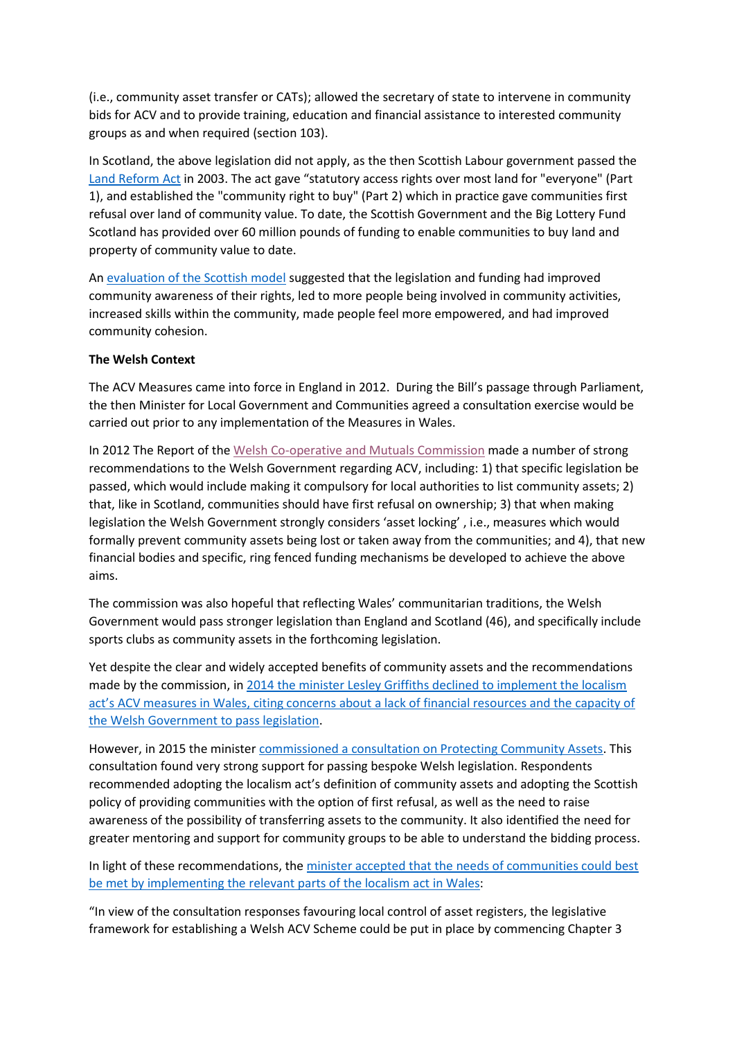(i.e., community asset transfer or CATs); allowed the secretary of state to intervene in community bids for ACV and to provide training, education and financial assistance to interested community groups as and when required (section 103).

In Scotland, the above legislation did not apply, as the then Scottish Labour government passed the [Land Reform Act](https://www.legislation.gov.uk/asp/2003/2/contents) in 2003. The act gave "statutory access rights over most land for "everyone" (Part 1), and established the "community right to buy" (Part 2) which in practice gave communities first refusal over land of community value. To date, the Scottish Government and the Big Lottery Fund Scotland has provided over 60 million pounds of funding to enable communities to buy land and property of community value to date.

An evaluation [of the Scottish model](https://www.gov.scot/publications/impact-evaluation-community-right-buy/pages/6/) suggested that the legislation and funding had improved community awareness of their rights, led to more people being involved in community activities, increased skills within the community, made people feel more empowered, and had improved community cohesion.

#### **The Welsh Context**

The ACV Measures came into force in England in 2012. During the Bill's passage through Parliament, the then Minister for Local Government and Communities agreed a consultation exercise would be carried out prior to any implementation of the Measures in Wales.

In 2012 The Report of the [Welsh Co-operative and Mutuals Commission](https://gov.wales/sites/default/files/publications/2019-05/report-of-the-welsh-co-operative-and-mutuals-commission.pdf) made a number of strong recommendations to the Welsh Government regarding ACV, including: 1) that specific legislation be passed, which would include making it compulsory for local authorities to list community assets; 2) that, like in Scotland, communities should have first refusal on ownership; 3) that when making legislation the Welsh Government strongly considers 'asset locking' , i.e., measures which would formally prevent community assets being lost or taken away from the communities; and 4), that new financial bodies and specific, ring fenced funding mechanisms be developed to achieve the above aims.

The commission was also hopeful that reflecting Wales' communitarian traditions, the Welsh Government would pass stronger legislation than England and Scotland (46), and specifically include sports clubs as community assets in the forthcoming legislation.

Yet despite the clear and widely accepted benefits of community assets and the recommendations made by the commission, in [2014 the minister Lesley Griffiths declined to implement the](https://gov.wales/written-statement-assets-community-value-measures-contained-localism-act-2011) localism act's [ACV measures in Wales, citing concerns about a lack of financial resources and the capacity of](https://gov.wales/written-statement-assets-community-value-measures-contained-localism-act-2011)  [the Welsh Government to pass legislation.](https://gov.wales/written-statement-assets-community-value-measures-contained-localism-act-2011)

However, in 2015 the minister [commissioned a consultation on Protecting Community Assets.](https://www.southwalesargus.co.uk/news/12963782.love-your-library-cherish-your-church-partial-to-your-pub-consultation-to-protect-community-facilities-launched/) This consultation found very strong support for passing bespoke Welsh legislation. Respondents recommended adopting the localism act's definition of community assets and adopting the Scottish policy of providing communities with the option of first refusal, as well as the need to raise awareness of the possibility of transferring assets to the community. It also identified the need for greater mentoring and support for community groups to be able to understand the bidding process.

In light of these recommendations, the minister accepted that the needs of communities could best [be met by implementing the relevant parts of the localism act in Wales:](https://gov.wales/written-statement-assets-community-value-0)

"In view of the consultation responses favouring local control of asset registers, the legislative framework for establishing a Welsh ACV Scheme could be put in place by commencing Chapter 3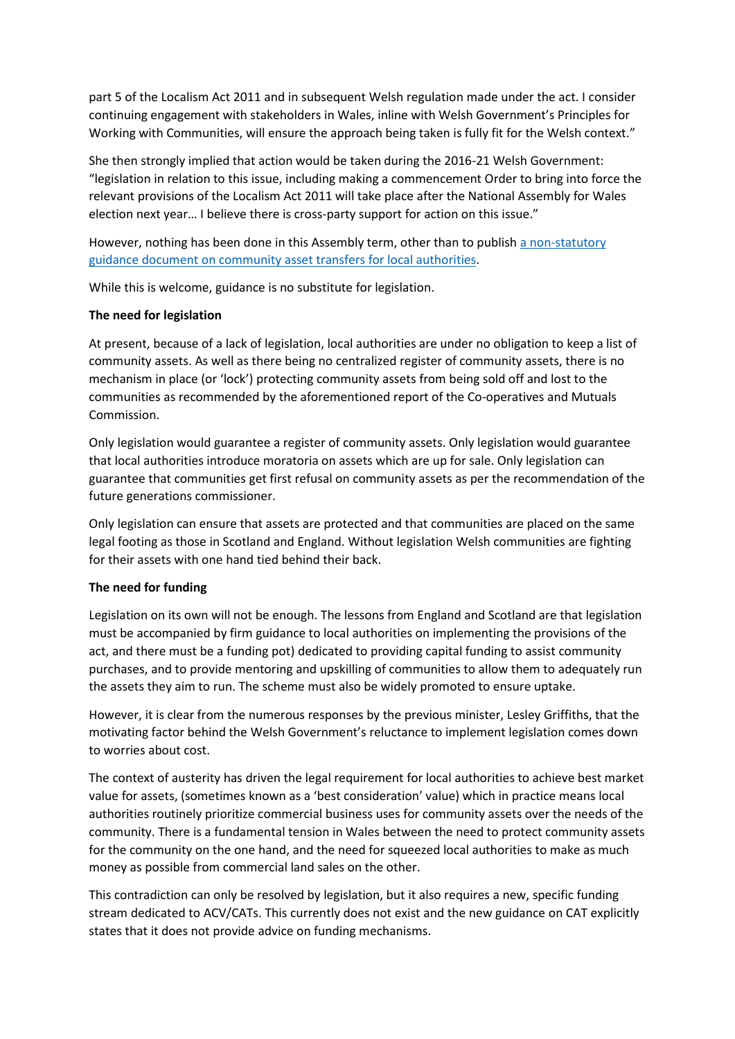part 5 of the Localism Act 2011 and in subsequent Welsh regulation made under the act. I consider continuing engagement with stakeholders in Wales, inline with Welsh Government's Principles for Working with Communities, will ensure the approach being taken is fully fit for the Welsh context."

She then strongly implied that action would be taken during the 2016-21 Welsh Government: "legislation in relation to this issue, including making a commencement Order to bring into force the relevant provisions of the Localism Act 2011 will take place after the National Assembly for Wales election next year… I believe there is cross-party support for action on this issue."

However, nothing has been done in this Assembly term, other than to publish a non-statutory guidance document [on community asset transfers](https://gov.wales/sites/default/files/publications/2019-10/cat%20guide.pdf) for local authorities.

While this is welcome, guidance is no substitute for legislation.

### **The need for legislation**

At present, because of a lack of legislation, local authorities are under no obligation to keep a list of community assets. As well as there being no centralized register of community assets, there is no mechanism in place (or 'lock') protecting community assets from being sold off and lost to the communities as recommended by the aforementioned report of the Co-operatives and Mutuals Commission.

Only legislation would guarantee a register of community assets. Only legislation would guarantee that local authorities introduce moratoria on assets which are up for sale. Only legislation can guarantee that communities get first refusal on community assets as per the recommendation of the future generations commissioner.

Only legislation can ensure that assets are protected and that communities are placed on the same legal footing as those in Scotland and England. Without legislation Welsh communities are fighting for their assets with one hand tied behind their back.

## **The need for funding**

Legislation on its own will not be enough. The lessons from England and Scotland are that legislation must be accompanied by firm guidance to local authorities on implementing the provisions of the act, and there must be a funding pot) dedicated to providing capital funding to assist community purchases, and to provide mentoring and upskilling of communities to allow them to adequately run the assets they aim to run. The scheme must also be widely promoted to ensure uptake.

However, it is clear from the numerous responses by the previous minister, Lesley Griffiths, that the motivating factor behind the Welsh Government's reluctance to implement legislation comes down to worries about cost.

The context of austerity has driven the legal requirement for local authorities to achieve best market value for assets, (sometimes known as a 'best consideration' value) which in practice means local authorities routinely prioritize commercial business uses for community assets over the needs of the community. There is a fundamental tension in Wales between the need to protect community assets for the community on the one hand, and the need for squeezed local authorities to make as much money as possible from commercial land sales on the other.

This contradiction can only be resolved by legislation, but it also requires a new, specific funding stream dedicated to ACV/CATs. This currently does not exist and the new guidance on CAT explicitly states that it does not provide advice on funding mechanisms.